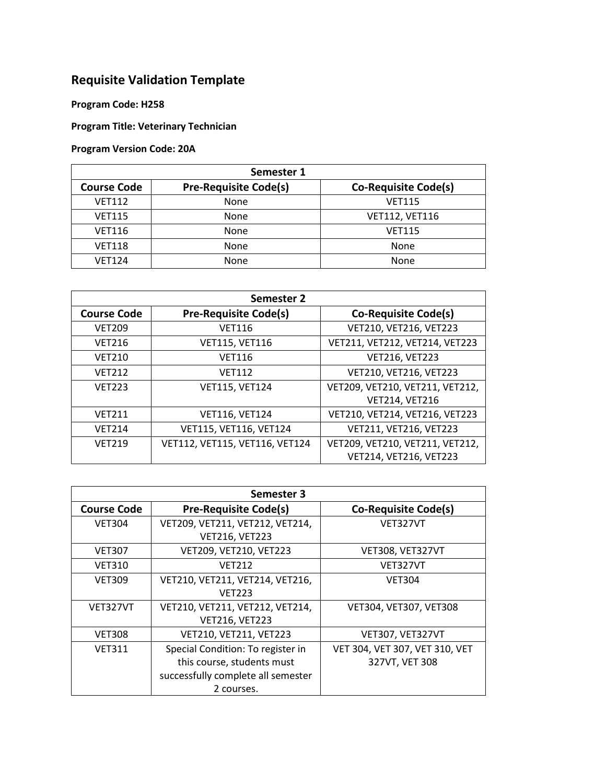## **Requisite Validation Template**

**Program Code: H258**

**Program Title: Veterinary Technician**

**Program Version Code: 20A**

| Semester 1         |                              |                             |  |  |
|--------------------|------------------------------|-----------------------------|--|--|
| <b>Course Code</b> | <b>Pre-Requisite Code(s)</b> | <b>Co-Requisite Code(s)</b> |  |  |
| <b>VET112</b>      | None                         | <b>VET115</b>               |  |  |
| <b>VET115</b>      | None                         | <b>VET112, VET116</b>       |  |  |
| <b>VET116</b>      | None                         | <b>VET115</b>               |  |  |
| <b>VET118</b>      | None                         | None                        |  |  |
| <b>VET124</b>      | None                         | None                        |  |  |

| Semester 2         |                                |                                 |  |  |
|--------------------|--------------------------------|---------------------------------|--|--|
| <b>Course Code</b> | <b>Pre-Requisite Code(s)</b>   | <b>Co-Requisite Code(s)</b>     |  |  |
| <b>VET209</b>      | <b>VET116</b>                  | VET210, VET216, VET223          |  |  |
| <b>VET216</b>      | <b>VET115, VET116</b>          | VET211, VET212, VET214, VET223  |  |  |
| <b>VET210</b>      | <b>VET116</b>                  | <b>VET216, VET223</b>           |  |  |
| <b>VET212</b>      | <b>VET112</b>                  | VET210, VET216, VET223          |  |  |
| <b>VET223</b>      | <b>VET115, VET124</b>          | VET209, VET210, VET211, VET212, |  |  |
|                    |                                | VET214, VET216                  |  |  |
| <b>VET211</b>      | VET116, VET124                 | VET210, VET214, VET216, VET223  |  |  |
| <b>VET214</b>      | VET115, VET116, VET124         | VET211, VET216, VET223          |  |  |
| <b>VET219</b>      | VET112, VET115, VET116, VET124 | VET209, VET210, VET211, VET212, |  |  |
|                    |                                | VET214, VET216, VET223          |  |  |

| Semester 3         |                                    |                                |  |  |
|--------------------|------------------------------------|--------------------------------|--|--|
| <b>Course Code</b> | <b>Pre-Requisite Code(s)</b>       | <b>Co-Requisite Code(s)</b>    |  |  |
| <b>VET304</b>      | VET209, VET211, VET212, VET214,    | VET327VT                       |  |  |
|                    | <b>VET216, VET223</b>              |                                |  |  |
| <b>VET307</b>      | VET209, VET210, VET223             | VET308, VET327VT               |  |  |
| <b>VET310</b>      | <b>VFT212</b>                      | VET327VT                       |  |  |
| <b>VET309</b>      | VET210, VET211, VET214, VET216,    | <b>VET304</b>                  |  |  |
|                    | <b>VFT223</b>                      |                                |  |  |
| VET327VT           | VET210, VET211, VET212, VET214,    | VET304, VET307, VET308         |  |  |
|                    | <b>VET216, VET223</b>              |                                |  |  |
| <b>VET308</b>      | VET210, VET211, VET223             | VET307, VET327VT               |  |  |
| <b>VET311</b>      | Special Condition: To register in  | VET 304, VET 307, VET 310, VET |  |  |
|                    | this course, students must         | 327VT, VET 308                 |  |  |
|                    | successfully complete all semester |                                |  |  |
|                    | 2 courses.                         |                                |  |  |